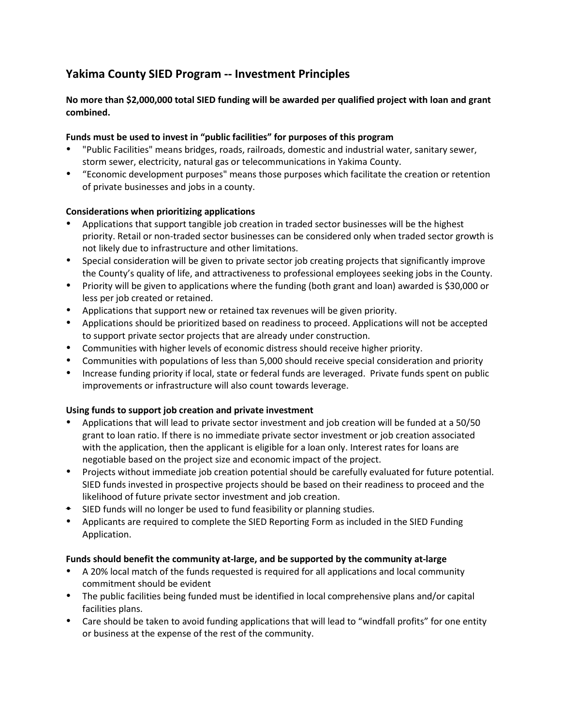# **Yakima County SIED Program -- Investment Principles**

# **No more than \$2,000,000 total SIED funding will be awarded per qualified project with loan and grant combined.**

# **Funds must be used to invest in "public facilities" for purposes of this program**

- "Public Facilities" means bridges, roads, railroads, domestic and industrial water, sanitary sewer, storm sewer, electricity, natural gas or telecommunications in Yakima County.
- "Economic development purposes" means those purposes which facilitate the creation or retention of private businesses and jobs in a county.

## **Considerations when prioritizing applications**

- Applications that support tangible job creation in traded sector businesses will be the highest priority. Retail or non-traded sector businesses can be considered only when traded sector growth is not likely due to infrastructure and other limitations.
- Special consideration will be given to private sector job creating projects that significantly improve the County's quality of life, and attractiveness to professional employees seeking jobs in the County.
- Priority will be given to applications where the funding (both grant and loan) awarded is \$30,000 or less per job created or retained.
- Applications that support new or retained tax revenues will be given priority.
- Applications should be prioritized based on readiness to proceed. Applications will not be accepted to support private sector projects that are already under construction.
- Communities with higher levels of economic distress should receive higher priority.
- Communities with populations of less than 5,000 should receive special consideration and priority
- Increase funding priority if local, state or federal funds are leveraged. Private funds spent on public improvements or infrastructure will also count towards leverage.

#### **Using funds to support job creation and private investment**

- Applications that will lead to private sector investment and job creation will be funded at a 50/50 grant to loan ratio. If there is no immediate private sector investment or job creation associated with the application, then the applicant is eligible for a loan only. Interest rates for loans are negotiable based on the project size and economic impact of the project.
- Projects without immediate job creation potential should be carefully evaluated for future potential. SIED funds invested in prospective projects should be based on their readiness to proceed and the likelihood of future private sector investment and job creation.
- SIED funds will no longer be used to fund feasibility or planning studies.
- Applicants are required to complete the SIED Reporting Form as included in the SIED Funding Application.

#### **Funds should benefit the community at-large, and be supported by the community at-large**

- A 20% local match of the funds requested is required for all applications and local community commitment should be evident
- The public facilities being funded must be identified in local comprehensive plans and/or capital facilities plans.
- Care should be taken to avoid funding applications that will lead to "windfall profits" for one entity or business at the expense of the rest of the community.